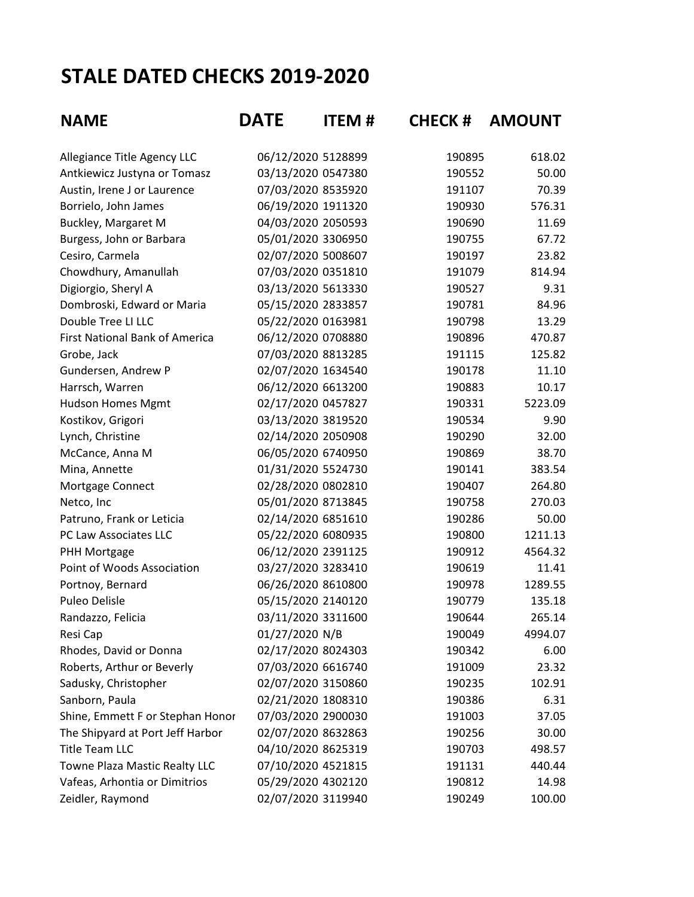## **STALE DATED CHECKS 2019-2020**

| <b>NAME</b>                           | <b>DATE</b>        | <b>ITEM#</b> | <b>CHECK # AMOUNT</b> |         |
|---------------------------------------|--------------------|--------------|-----------------------|---------|
| Allegiance Title Agency LLC           | 06/12/2020 5128899 |              | 190895                | 618.02  |
| Antkiewicz Justyna or Tomasz          | 03/13/2020 0547380 |              | 190552                | 50.00   |
| Austin, Irene J or Laurence           | 07/03/2020 8535920 |              | 191107                | 70.39   |
| Borrielo, John James                  | 06/19/2020 1911320 |              | 190930                | 576.31  |
| Buckley, Margaret M                   | 04/03/2020 2050593 |              | 190690                | 11.69   |
| Burgess, John or Barbara              | 05/01/2020 3306950 |              | 190755                | 67.72   |
| Cesiro, Carmela                       | 02/07/2020 5008607 |              | 190197                | 23.82   |
| Chowdhury, Amanullah                  | 07/03/2020 0351810 |              | 191079                | 814.94  |
| Digiorgio, Sheryl A                   | 03/13/2020 5613330 |              | 190527                | 9.31    |
| Dombroski, Edward or Maria            | 05/15/2020 2833857 |              | 190781                | 84.96   |
| Double Tree LI LLC                    | 05/22/2020 0163981 |              | 190798                | 13.29   |
| <b>First National Bank of America</b> | 06/12/2020 0708880 |              | 190896                | 470.87  |
| Grobe, Jack                           | 07/03/2020 8813285 |              | 191115                | 125.82  |
| Gundersen, Andrew P                   | 02/07/2020 1634540 |              | 190178                | 11.10   |
| Harrsch, Warren                       | 06/12/2020 6613200 |              | 190883                | 10.17   |
| <b>Hudson Homes Mgmt</b>              | 02/17/2020 0457827 |              | 190331                | 5223.09 |
| Kostikov, Grigori                     | 03/13/2020 3819520 |              | 190534                | 9.90    |
| Lynch, Christine                      | 02/14/2020 2050908 |              | 190290                | 32.00   |
| McCance, Anna M                       | 06/05/2020 6740950 |              | 190869                | 38.70   |
| Mina, Annette                         | 01/31/2020 5524730 |              | 190141                | 383.54  |
| Mortgage Connect                      | 02/28/2020 0802810 |              | 190407                | 264.80  |
| Netco, Inc                            | 05/01/2020 8713845 |              | 190758                | 270.03  |
| Patruno, Frank or Leticia             | 02/14/2020 6851610 |              | 190286                | 50.00   |
| PC Law Associates LLC                 | 05/22/2020 6080935 |              | 190800                | 1211.13 |
| PHH Mortgage                          | 06/12/2020 2391125 |              | 190912                | 4564.32 |
| Point of Woods Association            | 03/27/2020 3283410 |              | 190619                | 11.41   |
| Portnoy, Bernard                      | 06/26/2020 8610800 |              | 190978                | 1289.55 |
| <b>Puleo Delisle</b>                  | 05/15/2020 2140120 |              | 190779                | 135.18  |
| Randazzo, Felicia                     | 03/11/2020 3311600 |              | 190644                | 265.14  |
| Resi Cap                              | 01/27/2020 N/B     |              | 190049                | 4994.07 |
| Rhodes, David or Donna                | 02/17/2020 8024303 |              | 190342                | 6.00    |
| Roberts, Arthur or Beverly            | 07/03/2020 6616740 |              | 191009                | 23.32   |
| Sadusky, Christopher                  | 02/07/2020 3150860 |              | 190235                | 102.91  |
| Sanborn, Paula                        | 02/21/2020 1808310 |              | 190386                | 6.31    |
| Shine, Emmett F or Stephan Honor      | 07/03/2020 2900030 |              | 191003                | 37.05   |
| The Shipyard at Port Jeff Harbor      | 02/07/2020 8632863 |              | 190256                | 30.00   |
| <b>Title Team LLC</b>                 | 04/10/2020 8625319 |              | 190703                | 498.57  |
| Towne Plaza Mastic Realty LLC         | 07/10/2020 4521815 |              | 191131                | 440.44  |
| Vafeas, Arhontia or Dimitrios         | 05/29/2020 4302120 |              | 190812                | 14.98   |
| Zeidler, Raymond                      | 02/07/2020 3119940 |              | 190249                | 100.00  |